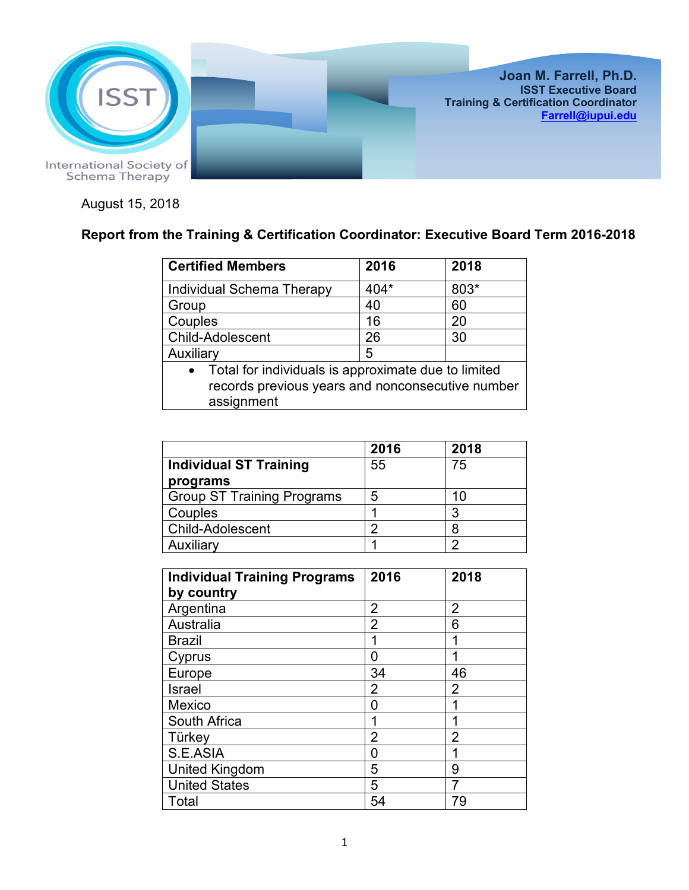

August 15, 2018

## **Report from the Training & Certification Coordinator: Executive Board Term 2016-2018**

| <b>Certified Members</b>                                                                                                           | 2016 | 2018 |  |
|------------------------------------------------------------------------------------------------------------------------------------|------|------|--|
| <b>Individual Schema Therapy</b>                                                                                                   | 404* | 803* |  |
| Group                                                                                                                              | 40   | 60   |  |
| Couples                                                                                                                            | 16   | 20   |  |
| Child-Adolescent                                                                                                                   | 26   | 30   |  |
| Auxiliary                                                                                                                          | 5    |      |  |
| Total for individuals is approximate due to limited<br>$\bullet$<br>records previous years and nonconsecutive number<br>assignment |      |      |  |

|                                   | 2016 | 2018 |
|-----------------------------------|------|------|
| <b>Individual ST Training</b>     | 55   | 75   |
| programs                          |      |      |
| <b>Group ST Training Programs</b> | 5    | 10   |
| Couples                           |      | 3    |
| <b>Child-Adolescent</b>           | n    | 8    |
| Auxiliary                         |      | ◠    |

| <b>Individual Training Programs</b> | 2016           | 2018           |
|-------------------------------------|----------------|----------------|
| by country                          |                |                |
| Argentina                           | $\overline{2}$ | 2              |
| Australia                           | $\overline{2}$ | 6              |
| <b>Brazil</b>                       | 1              | 1              |
| Cyprus                              | 0              | 1              |
| Europe                              | 34             | 46             |
| <b>Israel</b>                       | 2              | 2              |
| Mexico                              | O              | 1              |
| South Africa                        | 1              | 1              |
| Türkey                              | 2              | $\overline{2}$ |
| S.E.ASIA                            | 0              |                |
| United Kingdom                      | 5              | 9              |
| <b>United States</b>                | 5              |                |
| Total                               | 54             | 79             |